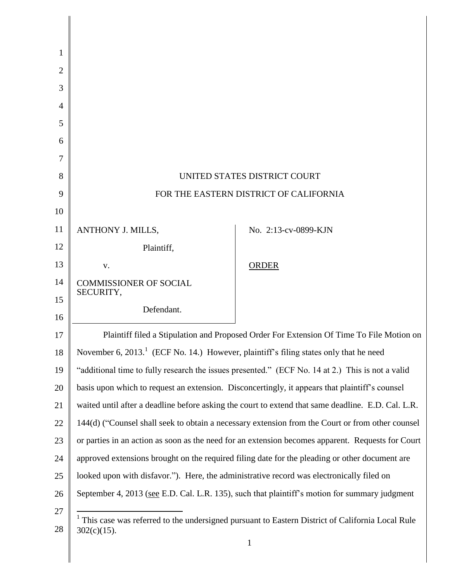| 1              |                                                                                                    |                                                                                                              |
|----------------|----------------------------------------------------------------------------------------------------|--------------------------------------------------------------------------------------------------------------|
| $\overline{2}$ |                                                                                                    |                                                                                                              |
| 3              |                                                                                                    |                                                                                                              |
| $\overline{4}$ |                                                                                                    |                                                                                                              |
| 5              |                                                                                                    |                                                                                                              |
| 6              |                                                                                                    |                                                                                                              |
| 7              |                                                                                                    |                                                                                                              |
| 8              | UNITED STATES DISTRICT COURT                                                                       |                                                                                                              |
| 9              | FOR THE EASTERN DISTRICT OF CALIFORNIA                                                             |                                                                                                              |
| 10             |                                                                                                    |                                                                                                              |
| 11             | ANTHONY J. MILLS,                                                                                  | No. 2:13-cv-0899-KJN                                                                                         |
| 12             | Plaintiff,                                                                                         |                                                                                                              |
| 13             | V.                                                                                                 | <b>ORDER</b>                                                                                                 |
| 14             | <b>COMMISSIONER OF SOCIAL</b><br>SECURITY,                                                         |                                                                                                              |
| 15             | Defendant.                                                                                         |                                                                                                              |
| 16             |                                                                                                    |                                                                                                              |
| 17             |                                                                                                    | Plaintiff filed a Stipulation and Proposed Order For Extension Of Time To File Motion on                     |
| 18             | November 6, 2013. <sup>1</sup> (ECF No. 14.) However, plaintiff's filing states only that he need  |                                                                                                              |
| 19             | "additional time to fully research the issues presented." (ECF No. 14 at 2.) This is not a valid   |                                                                                                              |
| 20             | basis upon which to request an extension. Disconcertingly, it appears that plaintiff's counsel     |                                                                                                              |
| 21             | waited until after a deadline before asking the court to extend that same deadline. E.D. Cal. L.R. |                                                                                                              |
| 22             |                                                                                                    | 144(d) ("Counsel shall seek to obtain a necessary extension from the Court or from other counsel             |
| 23             |                                                                                                    | or parties in an action as soon as the need for an extension becomes apparent. Requests for Court            |
| 24             | approved extensions brought on the required filing date for the pleading or other document are     |                                                                                                              |
| 25             | looked upon with disfavor."). Here, the administrative record was electronically filed on          |                                                                                                              |
| 26             | September 4, 2013 (see E.D. Cal. L.R. 135), such that plaintiff's motion for summary judgment      |                                                                                                              |
| 27             |                                                                                                    |                                                                                                              |
| 28             | $302(c)(15)$ .                                                                                     | <sup>1</sup> This case was referred to the undersigned pursuant to Eastern District of California Local Rule |
|                |                                                                                                    | 1                                                                                                            |

║